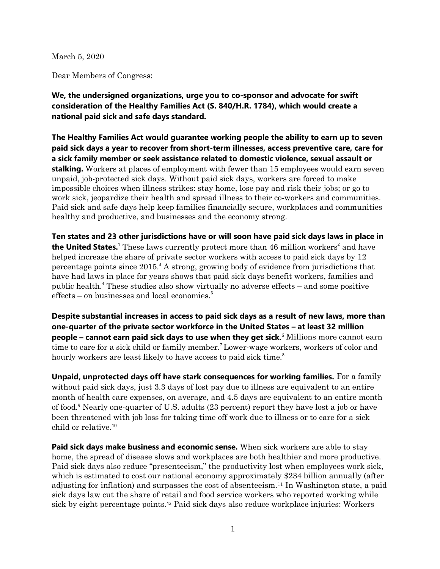March 5, 2020

Dear Members of Congress:

**We, the undersigned organizations, urge you to co-sponsor and advocate for swift consideration of the Healthy Families Act (S. 840/H.R. 1784), which would create a national paid sick and safe days standard.** 

**The Healthy Families Act would guarantee working people the ability to earn up to seven paid sick days a year to recover from short-term illnesses, access preventive care, care for a sick family member or seek assistance related to domestic violence, sexual assault or stalking.** Workers at places of employment with fewer than 15 employees would earn seven unpaid, job-protected sick days. Without paid sick days, workers are forced to make impossible choices when illness strikes: stay home, lose pay and risk their jobs; or go to work sick, jeopardize their health and spread illness to their co-workers and communities. Paid sick and safe days help keep families financially secure, workplaces and communities healthy and productive, and businesses and the economy strong.

**Ten states and 23 other jurisdictions have or will soon have paid sick days laws in place in the United States.** These laws currently protect more than 46 million workers<sup>2</sup> and have helped increase the share of private sector workers with access to paid sick days by 12 percentage points since  $2015<sup>3</sup>$  A strong, growing body of evidence from jurisdictions that have had laws in place for years shows that paid sick days benefit workers, families and public health. <sup>4</sup> These studies also show virtually no adverse effects – and some positive  $effects - on businesses and local economics<sup>5</sup>$ 

**Despite substantial increases in access to paid sick days as a result of new laws, more than one-quarter of the private sector workforce in the United States – at least 32 million people – cannot earn paid sick days to use when they get sick.**<sup>6</sup> Millions more cannot earn time to care for a sick child or family member.<sup>7</sup> Lower-wage workers, workers of color and hourly workers are least likely to have access to paid sick time.<sup>8</sup>

**Unpaid, unprotected days off have stark consequences for working families.** For a family without paid sick days, just 3.3 days of lost pay due to illness are equivalent to an entire month of health care expenses, on average, and 4.5 days are equivalent to an entire month of food. <sup>9</sup> Nearly one-quarter of U.S. adults (23 percent) report they have lost a job or have been threatened with job loss for taking time off work due to illness or to care for a sick child or relative.<sup>10</sup>

**Paid sick days make business and economic sense.** When sick workers are able to stay home, the spread of disease slows and workplaces are both healthier and more productive. Paid sick days also reduce "presenteeism," the productivity lost when employees work sick, which is estimated to cost our national economy approximately \$234 billion annually (after adjusting for inflation) and surpasses the cost of absenteeism.<sup>11</sup> In Washington state, a paid sick days law cut the share of retail and food service workers who reported working while sick by eight percentage points.<sup>12</sup> Paid sick days also reduce workplace injuries: Workers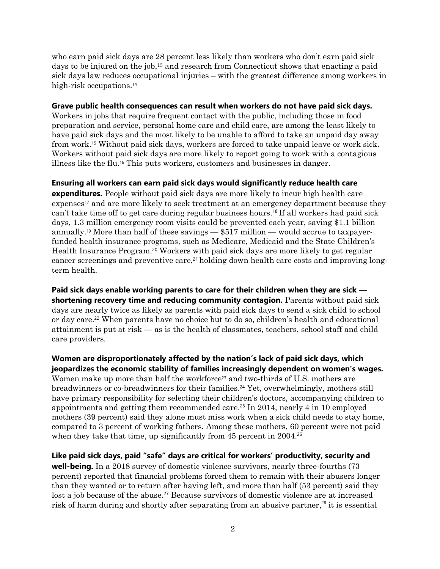who earn paid sick days are 28 percent less likely than workers who don't earn paid sick days to be injured on the job,<sup>13</sup> and research from Connecticut shows that enacting a paid sick days law reduces occupational injuries – with the greatest difference among workers in high-risk occupations. 14

### **Grave public health consequences can result when workers do not have paid sick days.**

Workers in jobs that require frequent contact with the public, including those in food preparation and service, personal home care and child care, are among the least likely to have paid sick days and the most likely to be unable to afford to take an unpaid day away from work.<sup>15</sup> Without paid sick days, workers are forced to take unpaid leave or work sick. Workers without paid sick days are more likely to report going to work with a contagious illness like the flu.<sup>16</sup> This puts workers, customers and businesses in danger.

## **Ensuring all workers can earn paid sick days would significantly reduce health care**

**expenditures.** People without paid sick days are more likely to incur high health care expenses<sup>17</sup> and are more likely to seek treatment at an emergency department because they can't take time off to get care during regular business hours.<sup>18</sup> If all workers had paid sick days, 1.3 million emergency room visits could be prevented each year, saving \$1.1 billion annually.<sup>19</sup> More than half of these savings — \$517 million — would accrue to taxpayerfunded health insurance programs, such as Medicare, Medicaid and the State Children's Health Insurance Program.<sup>20</sup> Workers with paid sick days are more likely to get regular cancer screenings and preventive care,<sup>21</sup> holding down health care costs and improving longterm health.

**Paid sick days enable working parents to care for their children when they are sick shortening recovery time and reducing community contagion.** Parents without paid sick days are nearly twice as likely as parents with paid sick days to send a sick child to school or day care.<sup>22</sup> When parents have no choice but to do so, children's health and educational attainment is put at risk — as is the health of classmates, teachers, school staff and child care providers.

**Women are disproportionately affected by the nation's lack of paid sick days, which jeopardizes the economic stability of families increasingly dependent on women's wages.**  Women make up more than half the workforce<sup>23</sup> and two-thirds of U.S. mothers are breadwinners or co-breadwinners for their families. <sup>24</sup> Yet, overwhelmingly, mothers still have primary responsibility for selecting their children's doctors, accompanying children to appointments and getting them recommended care.<sup>25</sup> In 2014, nearly 4 in 10 employed mothers (39 percent) said they alone must miss work when a sick child needs to stay home, compared to 3 percent of working fathers. Among these mothers, 60 percent were not paid when they take that time, up significantly from 45 percent in 2004.<sup>26</sup>

**Like paid sick days, paid "safe" days are critical for workers' productivity, security and well-being.** In a 2018 survey of domestic violence survivors, nearly three-fourths (73 percent) reported that financial problems forced them to remain with their abusers longer than they wanted or to return after having left, and more than half (53 percent) said they lost a job because of the abuse.<sup>27</sup> Because survivors of domestic violence are at increased risk of harm during and shortly after separating from an abusive partner,<sup>28</sup> it is essential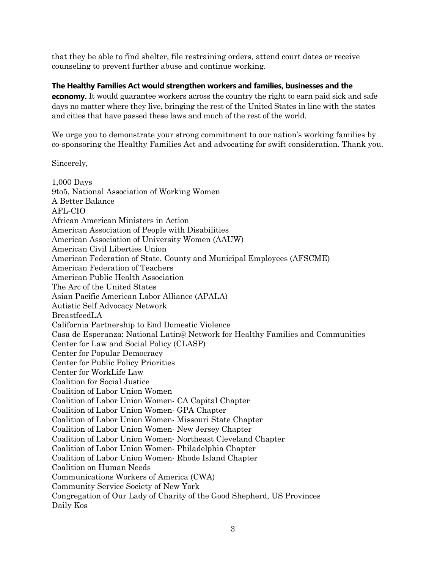that they be able to find shelter, file restraining orders, attend court dates or receive counseling to prevent further abuse and continue working.

# **The Healthy Families Act would strengthen workers and families, businesses and the**

**economy.** It would guarantee workers across the country the right to earn paid sick and safe days no matter where they live, bringing the rest of the United States in line with the states and cities that have passed these laws and much of the rest of the world.

We urge you to demonstrate your strong commitment to our nation's working families by co-sponsoring the Healthy Families Act and advocating for swift consideration. Thank you.

Sincerely,

1,000 Days 9to5, National Association of Working Women A Better Balance AFL-CIO African American Ministers in Action American Association of People with Disabilities American Association of University Women (AAUW) American Civil Liberties Union American Federation of State, County and Municipal Employees (AFSCME) American Federation of Teachers American Public Health Association The Arc of the United States Asian Pacific American Labor Alliance (APALA) Autistic Self Advocacy Network BreastfeedLA California Partnership to End Domestic Violence Casa de Esperanza: National Latin@ Network for Healthy Families and Communities Center for Law and Social Policy (CLASP) Center for Popular Democracy Center for Public Policy Priorities Center for WorkLife Law Coalition for Social Justice Coalition of Labor Union Women Coalition of Labor Union Women- CA Capital Chapter Coalition of Labor Union Women- GPA Chapter Coalition of Labor Union Women- Missouri State Chapter Coalition of Labor Union Women- New Jersey Chapter Coalition of Labor Union Women- Northeast Cleveland Chapter Coalition of Labor Union Women- Philadelphia Chapter Coalition of Labor Union Women- Rhode Island Chapter Coalition on Human Needs Communications Workers of America (CWA) Community Service Society of New York Congregation of Our Lady of Charity of the Good Shepherd, US Provinces Daily Kos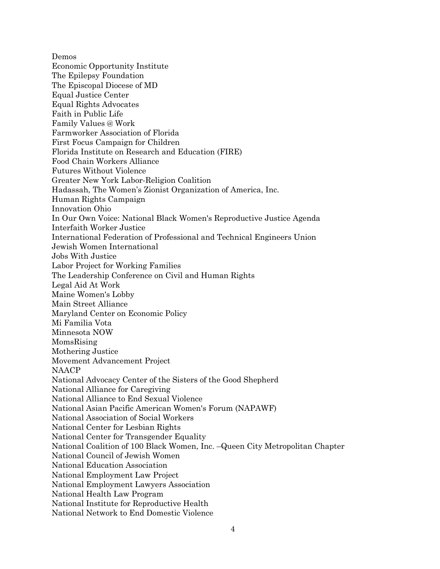Demos Economic Opportunity Institute The Epilepsy Foundation The Episcopal Diocese of MD Equal Justice Center Equal Rights Advocates Faith in Public Life Family Values @ Work Farmworker Association of Florida First Focus Campaign for Children Florida Institute on Research and Education (FIRE) Food Chain Workers Alliance Futures Without Violence Greater New York Labor-Religion Coalition Hadassah, The Women's Zionist Organization of America, Inc. Human Rights Campaign Innovation Ohio In Our Own Voice: National Black Women's Reproductive Justice Agenda Interfaith Worker Justice International Federation of Professional and Technical Engineers Union Jewish Women International Jobs With Justice Labor Project for Working Families The Leadership Conference on Civil and Human Rights Legal Aid At Work Maine Women's Lobby Main Street Alliance Maryland Center on Economic Policy Mi Familia Vota Minnesota NOW MomsRising Mothering Justice Movement Advancement Project NAACP National Advocacy Center of the Sisters of the Good Shepherd National Alliance for Caregiving National Alliance to End Sexual Violence National Asian Pacific American Women's Forum (NAPAWF) National Association of Social Workers National Center for Lesbian Rights National Center for Transgender Equality National Coalition of 100 Black Women, Inc. –Queen City Metropolitan Chapter National Council of Jewish Women National Education Association National Employment Law Project National Employment Lawyers Association National Health Law Program National Institute for Reproductive Health National Network to End Domestic Violence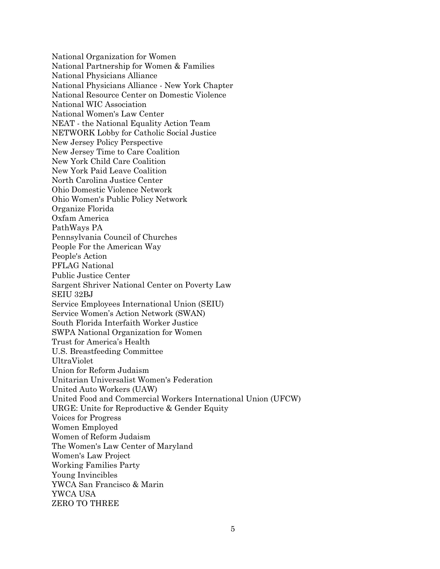National Organization for Women National Partnership for Women & Families National Physicians Alliance National Physicians Alliance - New York Chapter National Resource Center on Domestic Violence National WIC Association National Women's Law Center NEAT - the National Equality Action Team NETWORK Lobby for Catholic Social Justice New Jersey Policy Perspective New Jersey Time to Care Coalition New York Child Care Coalition New York Paid Leave Coalition North Carolina Justice Center Ohio Domestic Violence Network Ohio Women's Public Policy Network Organize Florida Oxfam America PathWays PA Pennsylvania Council of Churches People For the American Way People's Action PFLAG National Public Justice Center Sargent Shriver National Center on Poverty Law SEIU 32BJ Service Employees International Union (SEIU) Service Women's Action Network (SWAN) South Florida Interfaith Worker Justice SWPA National Organization for Women Trust for America's Health U.S. Breastfeeding Committee UltraViolet Union for Reform Judaism Unitarian Universalist Women's Federation United Auto Workers (UAW) United Food and Commercial Workers International Union (UFCW) URGE: Unite for Reproductive & Gender Equity Voices for Progress Women Employed Women of Reform Judaism The Women's Law Center of Maryland Women's Law Project Working Families Party Young Invincibles YWCA San Francisco & Marin YWCA USA ZERO TO THREE